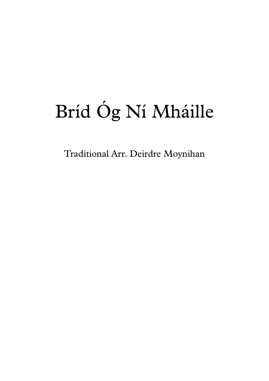## Bríd Óg Ní Mháille

Traditional Arr. Deirdre Moynihan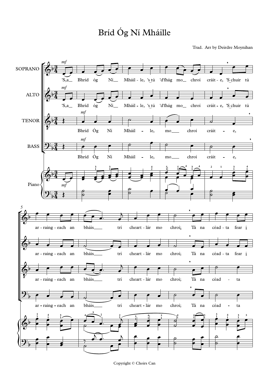## Bríd Óg Ní Mháille

Trad. Arr by Deirdre Moynihan



Copyright © Choirs Can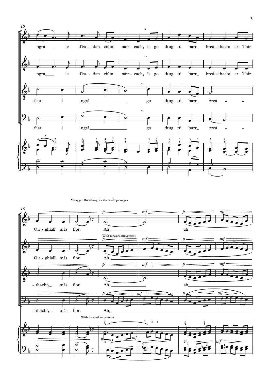

\*Stagger Breathing for the scale passages

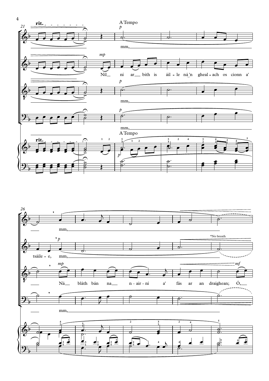

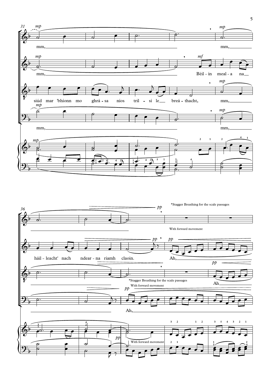

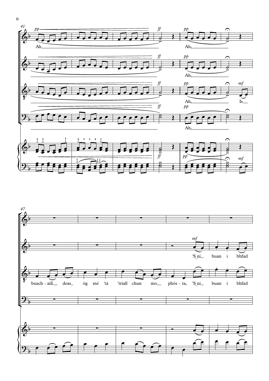



6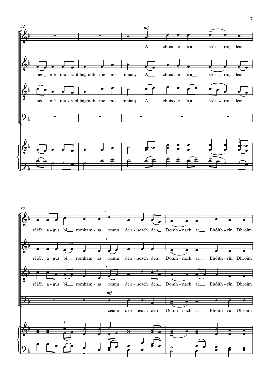

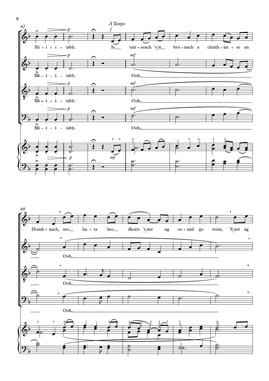



8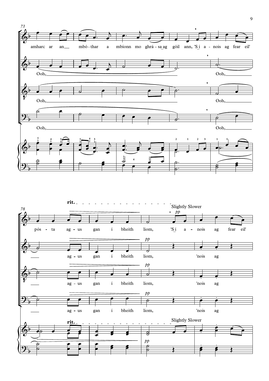